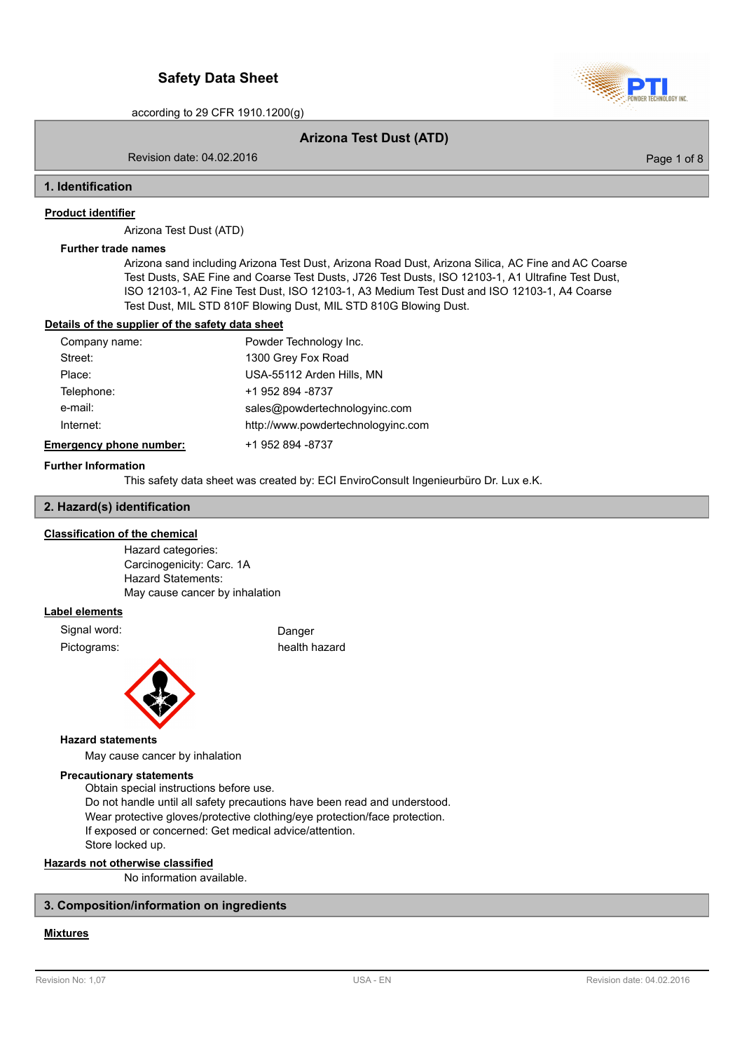

## **Arizona Test Dust (ATD)**

Revision date: 04.02.2016

Page 1 of 8

### **1. Identification**

### **Product identifier**

Arizona Test Dust (ATD)

### **Further trade names**

Arizona sand including Arizona Test Dust, Arizona Road Dust, Arizona Silica, AC Fine and AC Coarse Test Dusts, SAE Fine and Coarse Test Dusts, J726 Test Dusts, ISO 12103-1, A1 Ultrafine Test Dust, ISO 12103-1, A2 Fine Test Dust, ISO 12103-1, A3 Medium Test Dust and ISO 12103-1, A4 Coarse Test Dust, MIL STD 810F Blowing Dust, MIL STD 810G Blowing Dust.

## **Details of the supplier of the safety data sheet**

| Company name:                  | Powder Technology Inc.             |
|--------------------------------|------------------------------------|
| Street:                        | 1300 Grey Fox Road                 |
| Place:                         | USA-55112 Arden Hills, MN          |
| Telephone:                     | +1 952 894 -8737                   |
| e-mail:                        | sales@powdertechnologyinc.com      |
| Internet:                      | http://www.powdertechnologyinc.com |
| <b>Emergency phone number:</b> | +1 952 894 -8737                   |

#### **Further Information**

This safety data sheet was created by: ECI EnviroConsult Ingenieurbüro Dr. Lux e.K.

## **2. Hazard(s) identification**

## **Classification of the chemical**

Hazard categories: Carcinogenicity: Carc. 1A Hazard Statements: May cause cancer by inhalation

## **Label elements**

Signal word: Danger

Pictograms: health hazard



#### **Hazard statements**

May cause cancer by inhalation

## **Precautionary statements**

Obtain special instructions before use. Do not handle until all safety precautions have been read and understood. Wear protective gloves/protective clothing/eye protection/face protection. If exposed or concerned: Get medical advice/attention. Store locked up.

# **Hazards not otherwise classified**

No information available.

# **3. Composition/information on ingredients**

# **Mixtures**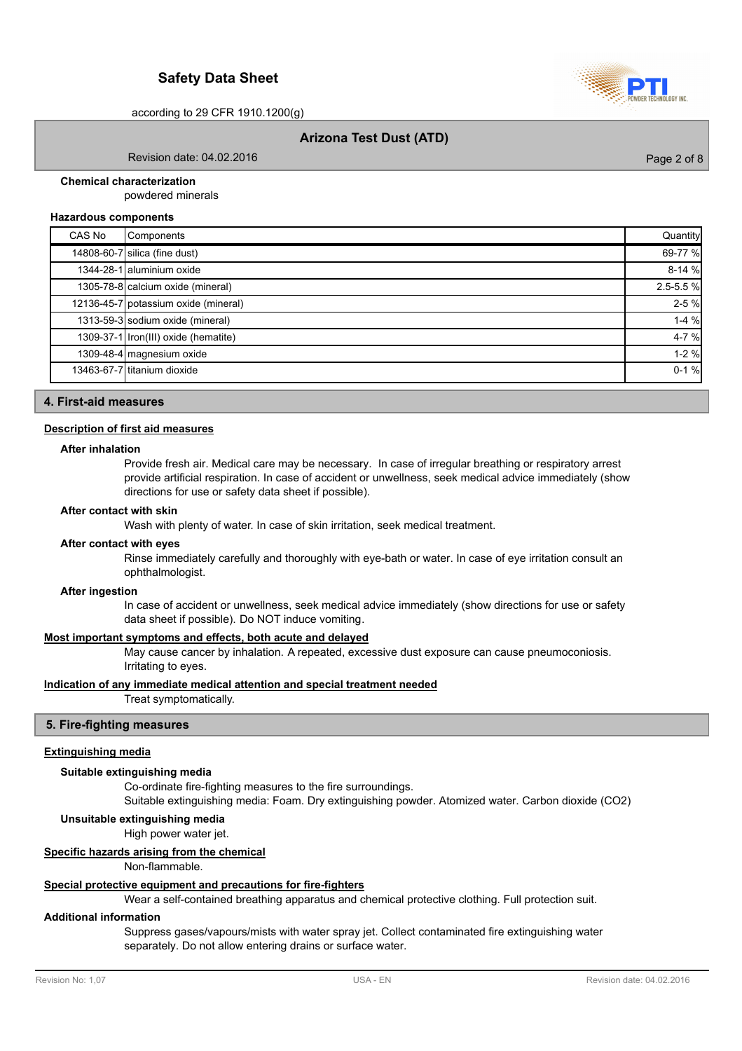

# **Arizona Test Dust (ATD)**

Revision date: 04.02.2016

Page 2 of 8

## **Chemical characterization**

powdered minerals

#### **Hazardous components**

| CAS No | Components                           | Quantity      |
|--------|--------------------------------------|---------------|
|        | 14808-60-7 silica (fine dust)        | 69-77 %       |
|        | 1344-28-1 aluminium oxide            | $8-14%$       |
|        | 1305-78-8 calcium oxide (mineral)    | $2.5 - 5.5 %$ |
|        | 12136-45-7 potassium oxide (mineral) | $2 - 5%$      |
|        | 1313-59-3 sodium oxide (mineral)     | $1-4%$        |
|        | 1309-37-1 Iron(III) oxide (hematite) | $4 - 7%$      |
|        | 1309-48-4 magnesium oxide            | $1 - 2%$      |
|        | 13463-67-7 titanium dioxide          | $0-1%$        |
|        |                                      |               |

## **4. First-aid measures**

#### **Description of first aid measures**

#### **After inhalation**

Provide fresh air. Medical care may be necessary. In case of irregular breathing or respiratory arrest provide artificial respiration. In case of accident or unwellness, seek medical advice immediately (show directions for use or safety data sheet if possible).

#### **After contact with skin**

Wash with plenty of water. In case of skin irritation, seek medical treatment.

#### **After contact with eyes**

Rinse immediately carefully and thoroughly with eye-bath or water. In case of eye irritation consult an ophthalmologist.

#### **After ingestion**

In case of accident or unwellness, seek medical advice immediately (show directions for use or safety data sheet if possible). Do NOT induce vomiting.

### **Most important symptoms and effects, both acute and delayed**

May cause cancer by inhalation. A repeated, excessive dust exposure can cause pneumoconiosis. Irritating to eyes.

### **Indication of any immediate medical attention and special treatment needed**

Treat symptomatically.

#### **5. Fire-fighting measures**

### **Extinguishing media**

## **Suitable extinguishing media**

Co-ordinate fire-fighting measures to the fire surroundings.

Suitable extinguishing media: Foam. Dry extinguishing powder. Atomized water. Carbon dioxide (CO2)

## **Unsuitable extinguishing media**

High power water jet.

### **Specific hazards arising from the chemical**

Non-flammable.

#### **Special protective equipment and precautions for fire-fighters**

Wear a self-contained breathing apparatus and chemical protective clothing. Full protection suit.

#### **Additional information**

Suppress gases/vapours/mists with water spray jet. Collect contaminated fire extinguishing water separately. Do not allow entering drains or surface water.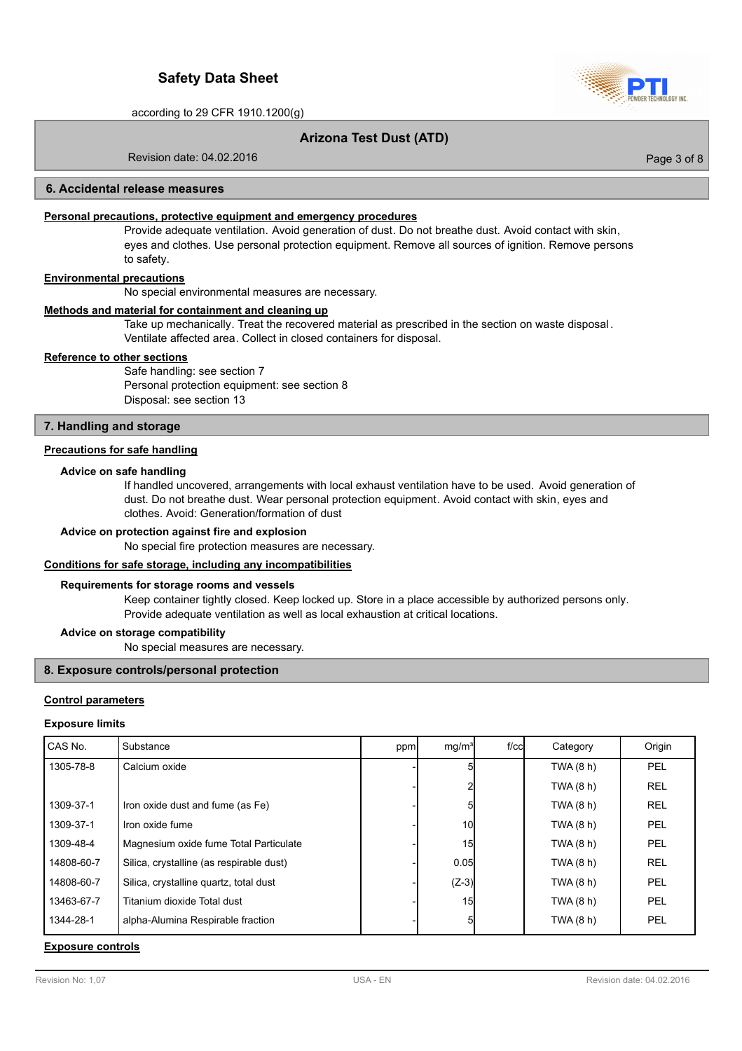

Page 3 of 8

according to 29 CFR 1910.1200(g)

# **Arizona Test Dust (ATD)**

Revision date: 04.02.2016

## **6. Accidental release measures**

## **Personal precautions, protective equipment and emergency procedures**

Provide adequate ventilation. Avoid generation of dust. Do not breathe dust. Avoid contact with skin, eyes and clothes. Use personal protection equipment. Remove all sources of ignition. Remove persons to safety.

# **Environmental precautions**

No special environmental measures are necessary.

#### **Methods and material for containment and cleaning up**

Take up mechanically. Treat the recovered material as prescribed in the section on waste disposal . Ventilate affected area. Collect in closed containers for disposal.

### **Reference to other sections**

Safe handling: see section 7 Personal protection equipment: see section 8 Disposal: see section 13

## **7. Handling and storage**

## **Precautions for safe handling**

#### **Advice on safe handling**

If handled uncovered, arrangements with local exhaust ventilation have to be used. Avoid generation of dust. Do not breathe dust. Wear personal protection equipment. Avoid contact with skin, eyes and clothes. Avoid: Generation/formation of dust

### **Advice on protection against fire and explosion**

No special fire protection measures are necessary.

## **Conditions for safe storage, including any incompatibilities**

#### **Requirements for storage rooms and vessels**

Keep container tightly closed. Keep locked up. Store in a place accessible by authorized persons only. Provide adequate ventilation as well as local exhaustion at critical locations.

#### **Advice on storage compatibility**

No special measures are necessary.

## **8. Exposure controls/personal protection**

#### **Control parameters**

#### **Exposure limits**

| CAS No.    | Substance                                | ppm | mq/m <sup>3</sup> | $f$ / $c$ c $\vert$ | Category    | Origin     |
|------------|------------------------------------------|-----|-------------------|---------------------|-------------|------------|
| 1305-78-8  | Calcium oxide                            |     |                   |                     | TWA $(8 h)$ | <b>PEL</b> |
|            |                                          |     |                   |                     | TWA $(8 h)$ | <b>REL</b> |
| 1309-37-1  | Iron oxide dust and fume (as Fe)         |     |                   |                     | TWA (8 h)   | <b>REL</b> |
| 1309-37-1  | Iron oxide fume                          |     | 10                |                     | TWA $(8 h)$ | PEL        |
| 1309-48-4  | Magnesium oxide fume Total Particulate   |     | 15                |                     | TWA (8 h)   | <b>PEL</b> |
| 14808-60-7 | Silica, crystalline (as respirable dust) |     | 0.05              |                     | TWA $(8 h)$ | <b>REL</b> |
| 14808-60-7 | Silica, crystalline quartz, total dust   |     | $(Z-3)$           |                     | TWA (8 h)   | PEL        |
| 13463-67-7 | Titanium dioxide Total dust              |     | 15                |                     | TWA (8 h)   | PEL        |
| 1344-28-1  | alpha-Alumina Respirable fraction        |     | 51                |                     | TWA $(8 h)$ | <b>PEL</b> |

### **Exposure controls**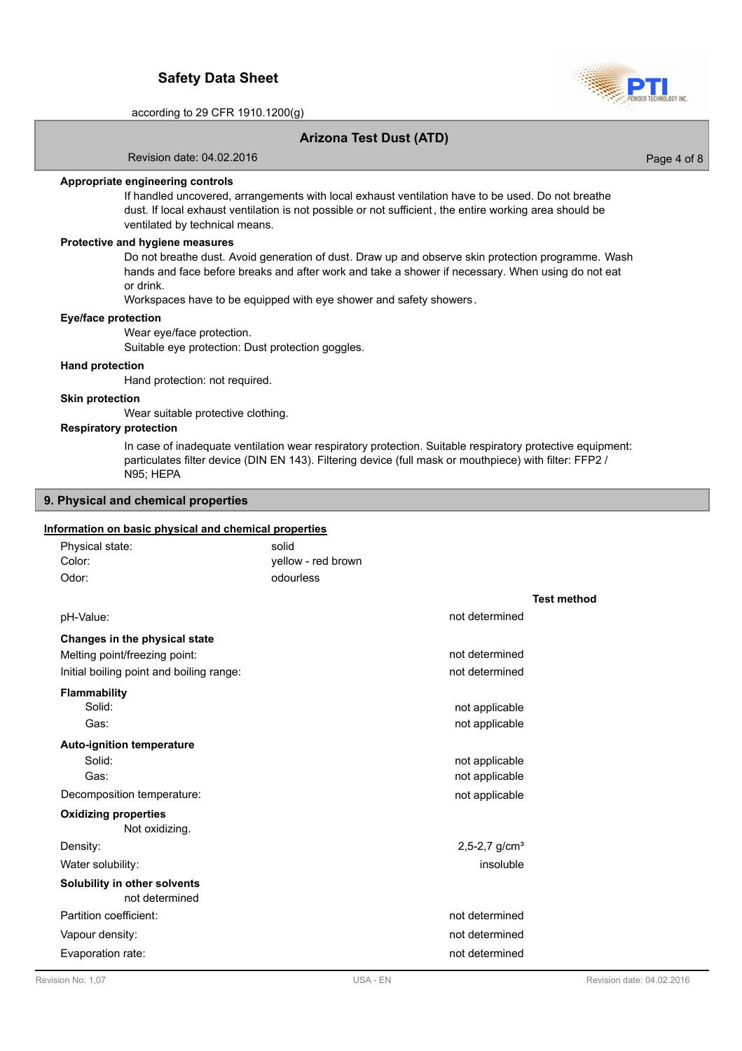

Page 4 of 8

according to 29 CFR 1910.1200(g)

# **Arizona Test Dust (ATD)**

Revision date: 04.02.2016

**Appropriate engineering controls**

If handled uncovered, arrangements with local exhaust ventilation have to be used. Do not breathe dust. If local exhaust ventilation is not possible or not sufficient, the entire working area should be ventilated by technical means.

## **Protective and hygiene measures**

Do not breathe dust. Avoid generation of dust. Draw up and observe skin protection programme. Wash hands and face before breaks and after work and take a shower if necessary. When using do not eat or drink.

Workspaces have to be equipped with eye shower and safety showers .

#### **Eye/face protection**

Wear eye/face protection.

Suitable eye protection: Dust protection goggles.

### **Hand protection**

Hand protection: not required.

#### **Skin protection**

Wear suitable protective clothing.

## **Respiratory protection**

In case of inadequate ventilation wear respiratory protection. Suitable respiratory protective equipment: particulates filter device (DIN EN 143). Filtering device (full mask or mouthpiece) with filter: FFP2 / N95; HEPA

## **9. Physical and chemical properties**

## **Information on basic physical and chemical properties**

| Physical state:                                | solid              |                             |
|------------------------------------------------|--------------------|-----------------------------|
| Color:                                         | yellow - red brown |                             |
| Odor:                                          | odourless          |                             |
|                                                |                    | <b>Test method</b>          |
| pH-Value:                                      |                    | not determined              |
| Changes in the physical state                  |                    |                             |
| Melting point/freezing point:                  |                    | not determined              |
| Initial boiling point and boiling range:       |                    | not determined              |
| <b>Flammability</b>                            |                    |                             |
| Solid:                                         |                    | not applicable              |
| Gas:                                           |                    | not applicable              |
| <b>Auto-ignition temperature</b>               |                    |                             |
| Solid:                                         |                    | not applicable              |
| Gas:                                           |                    | not applicable              |
| Decomposition temperature:                     |                    | not applicable              |
| <b>Oxidizing properties</b><br>Not oxidizing.  |                    |                             |
| Density:                                       |                    | $2,5-2,7$ g/cm <sup>3</sup> |
| Water solubility:                              |                    | insoluble                   |
|                                                |                    |                             |
| Solubility in other solvents<br>not determined |                    |                             |
| Partition coefficient:                         |                    | not determined              |
| Vapour density:                                |                    | not determined              |
| Evaporation rate:                              |                    | not determined              |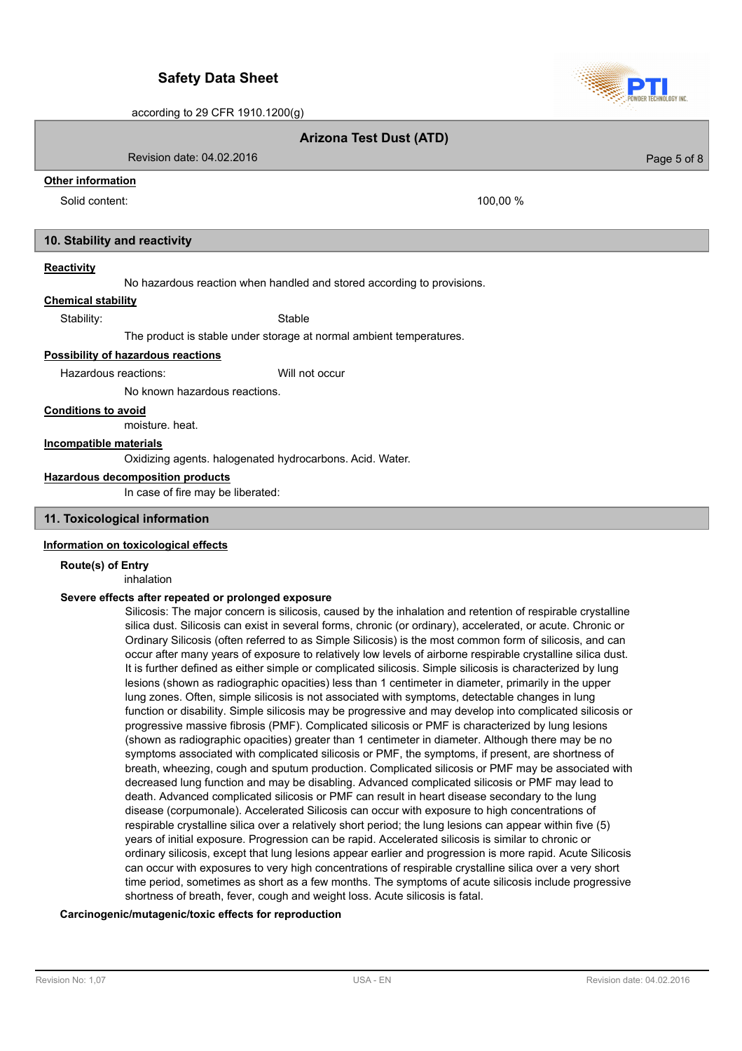**Arizona Test Dust (ATD)**

Revision date: 04.02.2016

# **Other information**

Solid content: 100,00 %

# **10. Stability and reactivity**

## **Reactivity**

No hazardous reaction when handled and stored according to provisions.

**Chemical stability**

Stability: Stable

The product is stable under storage at normal ambient temperatures.

# **Possibility of hazardous reactions**

Hazardous reactions: Will not occur

No known hazardous reactions.

**Conditions to avoid**

moisture. heat.

# **Incompatible materials**

Oxidizing agents. halogenated hydrocarbons. Acid. Water.

#### **Hazardous decomposition products**

In case of fire may be liberated:

## **11. Toxicological information**

### **Information on toxicological effects**

**Route(s) of Entry** inhalation

### **Severe effects after repeated or prolonged exposure**

Silicosis: The major concern is silicosis, caused by the inhalation and retention of respirable crystalline silica dust. Silicosis can exist in several forms, chronic (or ordinary), accelerated, or acute. Chronic or Ordinary Silicosis (often referred to as Simple Silicosis) is the most common form of silicosis, and can occur after many years of exposure to relatively low levels of airborne respirable crystalline silica dust. It is further defined as either simple or complicated silicosis. Simple silicosis is characterized by lung lesions (shown as radiographic opacities) less than 1 centimeter in diameter, primarily in the upper lung zones. Often, simple silicosis is not associated with symptoms, detectable changes in lung function or disability. Simple silicosis may be progressive and may develop into complicated silicosis or progressive massive fibrosis (PMF). Complicated silicosis or PMF is characterized by lung lesions (shown as radiographic opacities) greater than 1 centimeter in diameter. Although there may be no symptoms associated with complicated silicosis or PMF, the symptoms, if present, are shortness of breath, wheezing, cough and sputum production. Complicated silicosis or PMF may be associated with decreased lung function and may be disabling. Advanced complicated silicosis or PMF may lead to death. Advanced complicated silicosis or PMF can result in heart disease secondary to the lung disease (corpumonale). Accelerated Silicosis can occur with exposure to high concentrations of respirable crystalline silica over a relatively short period; the lung lesions can appear within five (5) years of initial exposure. Progression can be rapid. Accelerated silicosis is similar to chronic or ordinary silicosis, except that lung lesions appear earlier and progression is more rapid. Acute Silicosis can occur with exposures to very high concentrations of respirable crystalline silica over a very short time period, sometimes as short as a few months. The symptoms of acute silicosis include progressive shortness of breath, fever, cough and weight loss. Acute silicosis is fatal.

### **Carcinogenic/mutagenic/toxic effects for reproduction**



Page 5 of 8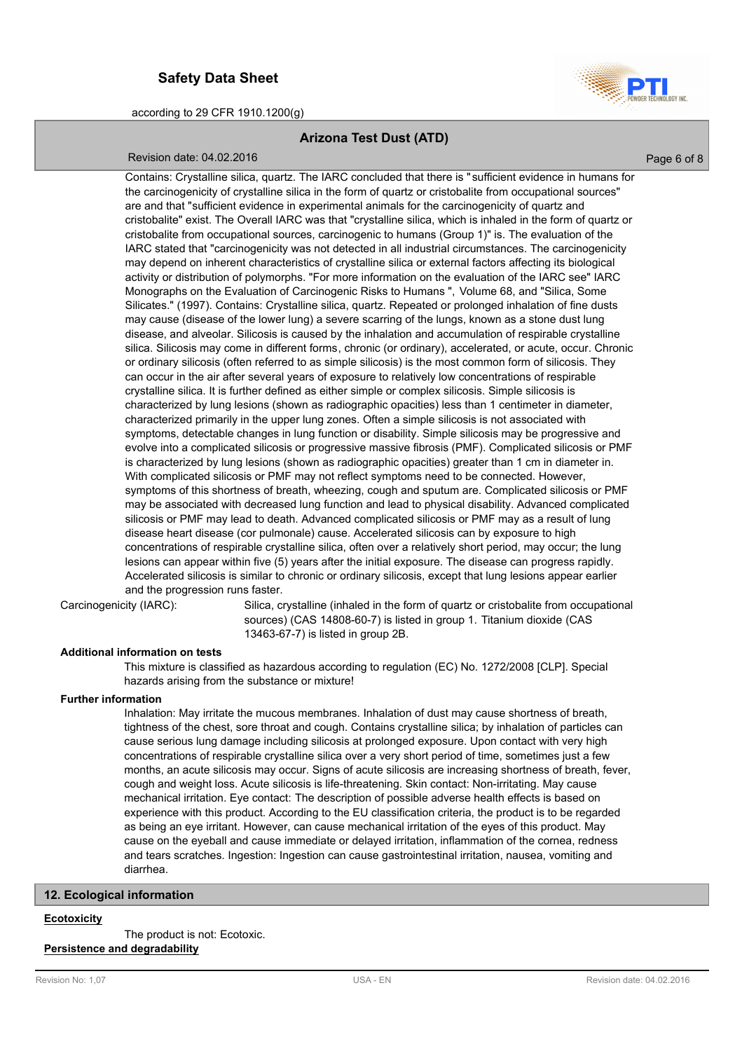

# **Arizona Test Dust (ATD)**

## Revision date: 04.02.2016

Page 6 of 8

Contains: Crystalline silica, quartz. The IARC concluded that there is " sufficient evidence in humans for the carcinogenicity of crystalline silica in the form of quartz or cristobalite from occupational sources" are and that "sufficient evidence in experimental animals for the carcinogenicity of quartz and cristobalite" exist. The Overall IARC was that "crystalline silica, which is inhaled in the form of quartz or cristobalite from occupational sources, carcinogenic to humans (Group 1)" is. The evaluation of the IARC stated that "carcinogenicity was not detected in all industrial circumstances. The carcinogenicity may depend on inherent characteristics of crystalline silica or external factors affecting its biological activity or distribution of polymorphs. "For more information on the evaluation of the IARC see" IARC Monographs on the Evaluation of Carcinogenic Risks to Humans ", Volume 68, and "Silica, Some Silicates." (1997). Contains: Crystalline silica, quartz. Repeated or prolonged inhalation of fine dusts may cause (disease of the lower lung) a severe scarring of the lungs, known as a stone dust lung disease, and alveolar. Silicosis is caused by the inhalation and accumulation of respirable crystalline silica. Silicosis may come in different forms, chronic (or ordinary), accelerated, or acute, occur. Chronic or ordinary silicosis (often referred to as simple silicosis) is the most common form of silicosis. They can occur in the air after several years of exposure to relatively low concentrations of respirable crystalline silica. It is further defined as either simple or complex silicosis. Simple silicosis is characterized by lung lesions (shown as radiographic opacities) less than 1 centimeter in diameter, characterized primarily in the upper lung zones. Often a simple silicosis is not associated with symptoms, detectable changes in lung function or disability. Simple silicosis may be progressive and evolve into a complicated silicosis or progressive massive fibrosis (PMF). Complicated silicosis or PMF is characterized by lung lesions (shown as radiographic opacities) greater than 1 cm in diameter in. With complicated silicosis or PMF may not reflect symptoms need to be connected. However, symptoms of this shortness of breath, wheezing, cough and sputum are. Complicated silicosis or PMF may be associated with decreased lung function and lead to physical disability. Advanced complicated silicosis or PMF may lead to death. Advanced complicated silicosis or PMF may as a result of lung disease heart disease (cor pulmonale) cause. Accelerated silicosis can by exposure to high concentrations of respirable crystalline silica, often over a relatively short period, may occur; the lung lesions can appear within five (5) years after the initial exposure. The disease can progress rapidly. Accelerated silicosis is similar to chronic or ordinary silicosis, except that lung lesions appear earlier and the progression runs faster.

Carcinogenicity (IARC):

Silica, crystalline (inhaled in the form of quartz or cristobalite from occupational sources) (CAS 14808-60-7) is listed in group 1. Titanium dioxide (CAS 13463-67-7) is listed in group 2B.

## **Additional information on tests**

This mixture is classified as hazardous according to regulation (EC) No. 1272/2008 [CLP]. Special hazards arising from the substance or mixture!

### **Further information**

Inhalation: May irritate the mucous membranes. Inhalation of dust may cause shortness of breath, tightness of the chest, sore throat and cough. Contains crystalline silica; by inhalation of particles can cause serious lung damage including silicosis at prolonged exposure. Upon contact with very high concentrations of respirable crystalline silica over a very short period of time, sometimes just a few months, an acute silicosis may occur. Signs of acute silicosis are increasing shortness of breath, fever, cough and weight loss. Acute silicosis is life-threatening. Skin contact: Non-irritating. May cause mechanical irritation. Eye contact: The description of possible adverse health effects is based on experience with this product. According to the EU classification criteria, the product is to be regarded as being an eye irritant. However, can cause mechanical irritation of the eyes of this product. May cause on the eyeball and cause immediate or delayed irritation, inflammation of the cornea, redness and tears scratches. Ingestion: Ingestion can cause gastrointestinal irritation, nausea, vomiting and diarrhea.

## **12. Ecological information**

#### **Ecotoxicity**

The product is not: Ecotoxic.

# **Persistence and degradability**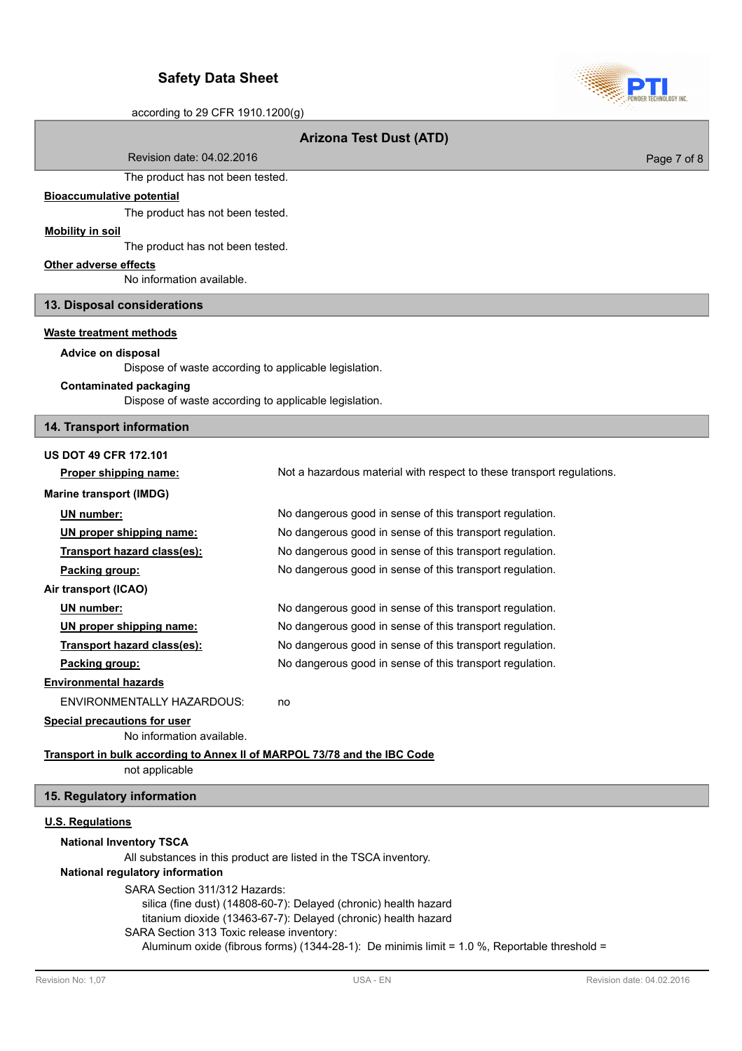

## **Arizona Test Dust (ATD)**

Revision date: 04.02.2016

The product has not been tested.

### **Bioaccumulative potential**

The product has not been tested.

# **Mobility in soil**

The product has not been tested.

## **Other adverse effects**

No information available.

## **13. Disposal considerations**

## **Waste treatment methods**

## **Advice on disposal**

Dispose of waste according to applicable legislation.

### **Contaminated packaging**

Dispose of waste according to applicable legislation.

### **14. Transport information**

## **US DOT 49 CFR 172.101**

**Proper shipping name:** Not a hazardous material with respect to these transport regulations. **Marine transport (IMDG) UN number:** No dangerous good in sense of this transport regulation. **UN proper shipping name:** No dangerous good in sense of this transport regulation. **Transport hazard class(es):** No dangerous good in sense of this transport regulation. **Packing group:** No dangerous good in sense of this transport regulation. **Air transport (ICAO) UN number:** No dangerous good in sense of this transport regulation. **UN proper shipping name:** No dangerous good in sense of this transport regulation. **Transport hazard class(es):** No dangerous good in sense of this transport regulation. **Packing group:** No dangerous good in sense of this transport regulation. **Environmental hazards** ENVIRONMENTALLY HAZARDOUS: no **Special precautions for user** No information available.

# **Transport in bulk according to Annex II of MARPOL 73/78 and the IBC Code**

not applicable

## **15. Regulatory information**

### **U.S. Regulations**

### **National Inventory TSCA**

All substances in this product are listed in the TSCA inventory.

### **National regulatory information**

SARA Section 311/312 Hazards:

silica (fine dust) (14808-60-7): Delayed (chronic) health hazard titanium dioxide (13463-67-7): Delayed (chronic) health hazard

SARA Section 313 Toxic release inventory:

Aluminum oxide (fibrous forms) (1344-28-1): De minimis limit = 1.0 %, Reportable threshold =